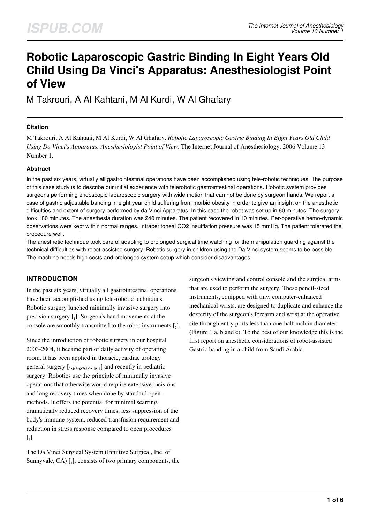# **Robotic Laparoscopic Gastric Binding In Eight Years Old Child Using Da Vinci's Apparatus: Anesthesiologist Point of View**

M Takrouri, A Al Kahtani, M Al Kurdi, W Al Ghafary

#### **Citation**

M Takrouri, A Al Kahtani, M Al Kurdi, W Al Ghafary. *Robotic Laparoscopic Gastric Binding In Eight Years Old Child Using Da Vinci's Apparatus: Anesthesiologist Point of View*. The Internet Journal of Anesthesiology. 2006 Volume 13 Number 1.

#### **Abstract**

In the past six years, virtually all gastrointestinal operations have been accomplished using tele-robotic techniques. The purpose of this case study is to describe our initial experience with telerobotic gastrointestinal operations. Robotic system provides surgeons performing endoscopic laparoscopic surgery with wide motion that can not be done by surgeon hands. We report a case of gastric adjustable banding in eight year child suffering from morbid obesity in order to give an insight on the anesthetic difficulties and extent of surgery performed by da Vinci Apparatus. In this case the robot was set up in 60 minutes. The surgery took 180 minutes. The anesthesia duration was 240 minutes. The patient recovered in 10 minutes. Per-operative hemo-dynamic observations were kept within normal ranges. Intraperitoneal CO2 insufflation pressure was 15 mmHg. The patient tolerated the procedure well.

The anesthetic technique took care of adapting to prolonged surgical time watching for the manipulation guarding against the technical difficulties with robot-assisted surgery. Robotic surgery in children using the Da Vinci system seems to be possible. The machine needs high costs and prolonged system setup which consider disadvantages.

## **INTRODUCTION**

In the past six years, virtually all gastrointestinal operations have been accomplished using tele-robotic techniques. Robotic surgery lunched minimally invasive surgery into precision surgery  $\begin{bmatrix} 1 \end{bmatrix}$ . Surgeon's hand movements at the console are smoothly transmitted to the robot instruments  $\mathfrak{c}_2$ .

Since the introduction of robotic surgery in our hospital 2003-2004, it became part of daily activity of operating room. It has been applied in thoracic, cardiac urology general surgery  $[\,3,4,5,6,7,8,9,10,11]\,$  and recently in pediatric surgery. Robotics use the principle of minimally invasive operations that otherwise would require extensive incisions and long recovery times when done by standard openmethods. It offers the potential for minimal scarring, dramatically reduced recovery times, less suppression of the body's immune system, reduced transfusion requirement and reduction in stress response compared to open procedures  $\left[\begin{smallmatrix} 6 \end{smallmatrix}\right]$ .

The Da Vinci Surgical System (Intuitive Surgical, Inc. of Sunnyvale, CA)  $\left[ \cdot \right]$ , consists of two primary components, the surgeon's viewing and control console and the surgical arms that are used to perform the surgery. These pencil-sized instruments, equipped with tiny, computer-enhanced mechanical wrists, are designed to duplicate and enhance the dexterity of the surgeon's forearm and wrist at the operative site through entry ports less than one-half inch in diameter (Figure 1 a, b and c). To the best of our knowledge this is the first report on anesthetic considerations of robot-assisted Gastric banding in a child from Saudi Arabia.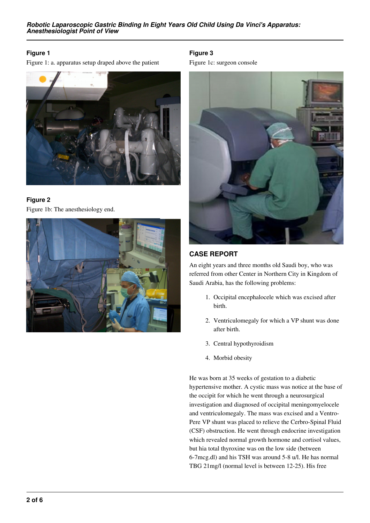## **Figure 1**

Figure 1: a. apparatus setup draped above the patient



## **Figure 2** Figure 1b: The anesthesiology end.



## **Figure 3**

Figure 1c: surgeon console



## **CASE REPORT**

An eight years and three months old Saudi boy, who was referred from other Center in Northern City in Kingdom of Saudi Arabia, has the following problems:

- 1. Occipital encephalocele which was excised after birth.
- 2. Ventriculomegaly for which a VP shunt was done after birth.
- 3. Central hypothyroidism
- 4. Morbid obesity

He was born at 35 weeks of gestation to a diabetic hypertensive mother. A cystic mass was notice at the base of the occipit for which he went through a neurosurgical investigation and diagnosed of occipital meningomyelocele and ventriculomegaly. The mass was excised and a Ventro-Pere VP shunt was placed to relieve the Cerbro-Spinal Fluid (CSF) obstruction. He went through endocrine investigation which revealed normal growth hormone and cortisol values, but hia total thyroxine was on the low side (between 6-7mcg.dl) and his TSH was around 5-8 u/l. He has normal TBG 21mg/l (normal level is between 12-25). His free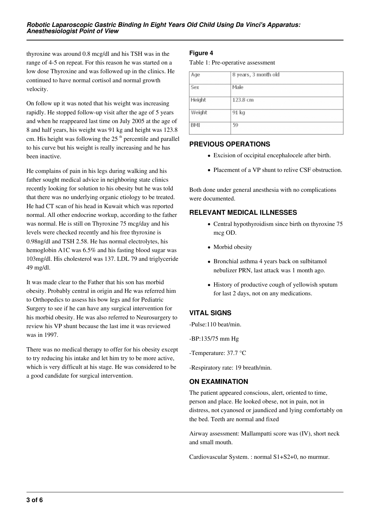thyroxine was around 0.8 mcg/dl and his TSH was in the range of 4-5 on repeat. For this reason he was started on a low dose Thyroxine and was followed up in the clinics. He continued to have normal cortisol and normal growth velocity.

On follow up it was noted that his weight was increasing rapidly. He stopped follow-up visit after the age of 5 years and when he reappeared last time on July 2005 at the age of 8 and half years, his weight was 91 kg and height was 123.8 cm. His height was following the  $25<sup>th</sup>$  percentile and parallel to his curve but his weight is really increasing and he has been inactive.

He complains of pain in his legs during walking and his father sought medical advice in neighboring state clinics recently looking for solution to his obesity but he was told that there was no underlying organic etiology to be treated. He had CT scan of his head in Kuwait which was reported normal. All other endocrine workup, according to the father was normal. He is still on Thyroxine 75 mcg/day and his levels were checked recently and his free thyroxine is 0.98ng/dl and TSH 2.58. He has normal electrolytes, his hemoglobin A1C was 6.5% and his fasting blood sugar was 103mg/dl. His cholesterol was 137. LDL 79 and triglyceride 49 mg/dl.

It was made clear to the Father that his son has morbid obesity. Probably central in origin and He was referred him to Orthopedics to assess his bow legs and for Pediatric Surgery to see if he can have any surgical intervention for his morbid obesity. He was also referred to Neurosurgery to review his VP shunt because the last ime it was reviewed was in 1997.

There was no medical therapy to offer for his obesity except to try reducing his intake and let him try to be more active, which is very difficult at his stage. He was considered to be a good candidate for surgical intervention.

## **Figure 4**

Table 1: Pre-operative assessment

| Age    | 8 years, 3 month old |
|--------|----------------------|
| Sex    | Male                 |
| Height | 123.8 cm             |
| Weight | 91 kg                |
| BMI    | 59                   |

## **PREVIOUS OPERATIONS**

- Excision of occipital encephalocele after birth.
- Placement of a VP shunt to relive CSF obstruction.

Both done under general anesthesia with no complications were documented.

## **RELEVANT MEDICAL ILLNESSES**

- Central hypothyroidism since birth on thyroxine 75 mcg OD.
- Morbid obesity
- Bronchial asthma 4 years back on sulbitamol nebulizer PRN, last attack was 1 month ago.
- History of productive cough of yellowish sputum for last 2 days, not on any medications.

# **VITAL SIGNS**

-Pulse:110 beat/min.

-BP:135/75 mm Hg

-Temperature: 37.7 °C

-Respiratory rate: 19 breath/min.

## **ON EXAMINATION**

The patient appeared conscious, alert, oriented to time, person and place. He looked obese, not in pain, not in distress, not cyanosed or jaundiced and lying comfortably on the bed. Teeth are normal and fixed

Airway assessment: Mallampatti score was (IV), short neck and small mouth.

Cardiovascular System. : normal S1+S2+0, no murmur.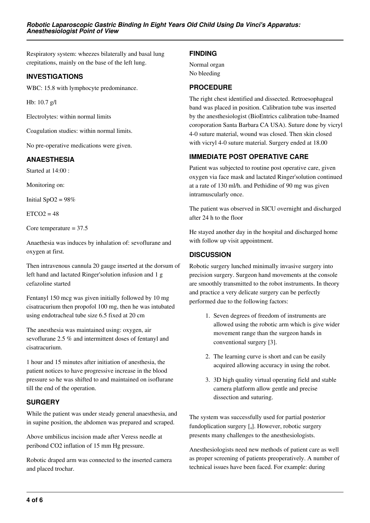Respiratory system: wheezes bilaterally and basal lung crepitations, mainly on the base of the left lung.

#### **INVESTIGATIONS**

WBC: 15.8 with lymphocyte predominance.

Hb: 10.7 g/l

Electrolytes: within normal limits

Coagulation studies: within normal limits.

No pre-operative medications were given.

## **ANAESTHESIA**

Started at 14:00 :

Monitoring on:

Initial  $SpO2 = 98%$ 

 $ETCO2 = 48$ 

Core temperature  $= 37.5$ 

Anaethesia was induces by inhalation of: sevoflurane and oxygen at first.

Then intravenous cannula 20 gauge inserted at the dorsum of left hand and lactated Ringer'solution infusion and 1 g cefazoline started

Fentanyl 150 mcg was given initially followed by 10 mg cisatracurium then propofol 100 mg, then he was intubated using endotracheal tube size 6.5 fixed at 20 cm

The anesthesia was maintained using: oxygen, air sevoflurane 2.5 % and intermittent doses of fentanyl and cisatracurium.

1 hour and 15 minutes after initiation of anesthesia, the patient notices to have progressive increase in the blood pressure so he was shifted to and maintained on isoflurane till the end of the operation.

## **SURGERY**

While the patient was under steady general anaesthesia, and in supine position, the abdomen was prepared and scraped.

Above umbilicus incision made after Veress needle at peribond CO2 inflation of 15 mm Hg pressure.

Robotic draped arm was connected to the inserted camera and placed trochar.

## **FINDING**

Normal organ No bleeding

## **PROCEDURE**

The right chest identified and dissected. Retroesophageal band was placed in position. Calibration tube was inserted by the anesthesiologist (BioEntrics calibration tube-Inamed coroporation Santa Barbara CA USA). Suture done by vicryl 4-0 suture material, wound was closed. Then skin closed with vicryl 4-0 suture material. Surgery ended at 18.00

# **IMMEDIATE POST OPERATIVE CARE**

Patient was subjected to routine post operative care, given oxygen via face mask and lactated Ringer'solution continued at a rate of 130 ml/h. and Pethidine of 90 mg was given intramuscularly once.

The patient was observed in SICU overnight and discharged after 24 h to the floor

He stayed another day in the hospital and discharged home with follow up visit appointment.

## **DISCUSSION**

Robotic surgery lunched minimally invasive surgery into precision surgery. Surgeon hand movements at the console are smoothly transmitted to the robot instruments. In theory and practice a very delicate surgery can be perfectly performed due to the following factors:

- 1. Seven degrees of freedom of instruments are allowed using the robotic arm which is give wider movement range than the surgeon hands in conventional surgery [3].
- 2. The learning curve is short and can be easily acquired allowing accuracy in using the robot.
- 3. 3D high quality virtual operating field and stable camera platform allow gentle and precise dissection and suturing.

The system was successfully used for partial posterior fundoplication surgery [<sup>4</sup> ]. However, robotic surgery presents many challenges to the anesthesiologists.

Anesthesiologists need new methods of patient care as well as proper screening of patients preoperatively. A number of technical issues have been faced. For example: during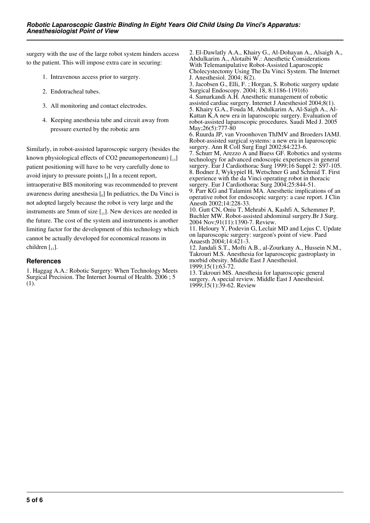surgery with the use of the large robot system hinders access to the patient. This will impose extra care in securing:

- 1. Intravenous access prior to surgery.
- 2. Endotracheal tubes.
- 3. All monitoring and contact electrodes.
- 4. Keeping anesthesia tube and circuit away from pressure exerted by the robotic arm

Similarly, in robot-assisted laparoscopic surgery (besides the known physiological effects of CO2 pneumopertoneum)  $\begin{bmatrix} 13 \end{bmatrix}$ patient positioning will have to be very carefully done to avoid injury to pressure points  $\left[\begin{smallmatrix} 5 \end{smallmatrix}\right]$  In a recent report, intraoperative BIS monitoring was recommended to prevent awareness during anesthesia  $\begin{bmatrix} 6 \end{bmatrix}$  In pediatrics, the Da Vinci is not adopted largely because the robot is very large and the instruments are 5mm of size  $\left[\begin{smallmatrix}1\\1\end{smallmatrix}\right]$ . New devices are needed in the future. The cost of the system and instruments is another limiting factor for the development of this technology which cannot be actually developed for economical reasons in children  $\begin{bmatrix} 1 \\ 1 \end{bmatrix}$ .

#### **References**

1. Haggag A.A.: Robotic Surgery: When Technology Meets Surgical Precision. The Internet Journal of Health. 2006 ; 5 (1).

2. El-Dawlatly A.A., Khairy G., Al-Dohayan A., Alsaigh A., Abdulkarim A., Alotaibi W.: Anesthetic Considerations With Telemanipulative Robot-Assisted Laparoscopic Cholecystectomy Using The Da Vinci System. The Internet J. Anesthesiol. 2004; 8(2). 3. Jacobsen G., Elli, F. ; Horgan, S. Robotic surgery update Surgical Endoscopy. 2004; 18, 8:1186-1191(6) 4. Samarkandi A.H. Anesthetic management of robotic assisted cardiac surgery. Internet J Anesthesiol 2004;8(1). 5. Khairy G.A., Fouda M, Abdulkarim A, Al-Saigh A., Al-Kattan K.A new era in laparoscopic surgery. Evaluation of robot-assisted laparoscopic procedures. Saudi Med J. 2005 May; 26(5): 777-80 6. Ruurda JP, van Vroonhoven ThJMV and Broeders IAMJ. Robot-assisted surgical systems: a new era in laparoscopic surgery. Ann R Coll Surg Engl 2002;84:223-6. 7. Schurr M, Arezzo A and Buess GF. Robotics and systems technology for advanced endoscopic experiences in general surgery. Eur J Cardiothorac Surg 1999;16 Suppl 2: S97-105. 8. Bodner J, Wykypiel H, Wetschner G and Schmid T. First experience with the da Vinci operating robot in thoracic surgery. Eur J Cardiothorac Surg 2004;25:844-51. 9. Parr KG and Talamini MA. Anesthetic implications of an operative robot for endoscopic surgery: a case report. J Clin Anesth 2002;14:228-33. 10. Gutt CN, Oniu T, Mehrabi A, Kashfi A, Schemmer P, Buchler MW. Robot-assisted abdominal surgery.Br J Surg. 2004 Nov;91(11):1390-7. Review. 11. Heloury Y, Podevin G, Leclair MD and Lejus C. Update on laparoscopic surgery: surgeon's point of view. Paed Anaesth 2004;14:421-3. 12. Jandali S.T., Mofti A.B., al-Zourkany A., Hussein N.M., Takrouri M.S. Anesthesia for laparoscopic gastroplasty in morbid obesity. Middle East J Anesthesiol. 1999;15(1):63-72. 13. Takrouri MS. Anesthesia for laparoscopic general

surgery. A special review. Middle East J Anesthesiol. 1999;15(1):39-62. Review